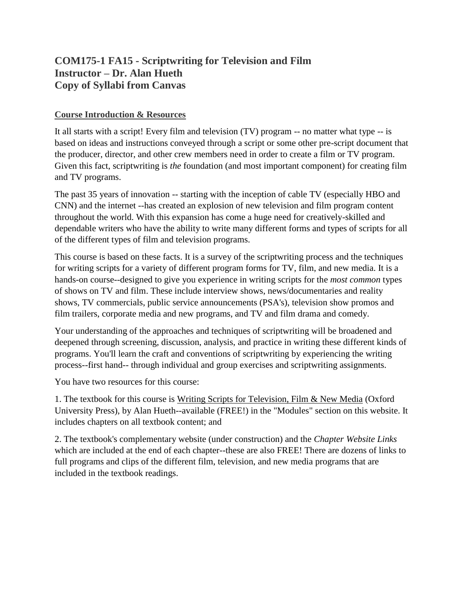# **COM175-1 FA15 - Scriptwriting for Television and Film Instructor – Dr. Alan Hueth Copy of Syllabi from Canvas**

# **Course Introduction & Resources**

It all starts with a script! Every film and television (TV) program -- no matter what type -- is based on ideas and instructions conveyed through a script or some other pre-script document that the producer, director, and other crew members need in order to create a film or TV program. Given this fact, scriptwriting is *the* foundation (and most important component) for creating film and TV programs.

The past 35 years of innovation -- starting with the inception of cable TV (especially HBO and CNN) and the internet --has created an explosion of new television and film program content throughout the world. With this expansion has come a huge need for creatively-skilled and dependable writers who have the ability to write many different forms and types of scripts for all of the different types of film and television programs.

This course is based on these facts. It is a survey of the scriptwriting process and the techniques for writing scripts for a variety of different program forms for TV, film, and new media. It is a hands-on course--designed to give you experience in writing scripts for the *most common* types of shows on TV and film. These include interview shows, news/documentaries and reality shows, TV commercials, public service announcements (PSA's), television show promos and film trailers, corporate media and new programs, and TV and film drama and comedy.

Your understanding of the approaches and techniques of scriptwriting will be broadened and deepened through screening, discussion, analysis, and practice in writing these different kinds of programs. You'll learn the craft and conventions of scriptwriting by experiencing the writing process--first hand-- through individual and group exercises and scriptwriting assignments.

You have two resources for this course:

1. The textbook for this course is Writing Scripts for Television, Film & New Media (Oxford University Press), by Alan Hueth--available (FREE!) in the "Modules" section on this website. It includes chapters on all textbook content; and

2. The textbook's complementary website (under construction) and the *Chapter Website Links* which are included at the end of each chapter--these are also FREE! There are dozens of links to full programs and clips of the different film, television, and new media programs that are included in the textbook readings.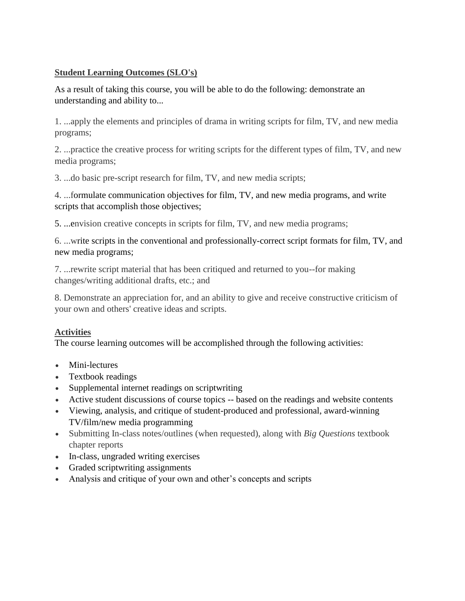# **Student Learning Outcomes (SLO's)**

As a result of taking this course, you will be able to do the following: demonstrate an understanding and ability to...

1. ...apply the elements and principles of drama in writing scripts for film, TV, and new media programs;

2. ...practice the creative process for writing scripts for the different types of film, TV, and new media programs;

3. ...do basic pre-script research for film, TV, and new media scripts;

4. ...formulate communication objectives for film, TV, and new media programs, and write scripts that accomplish those objectives;

5. ...envision creative concepts in scripts for film, TV, and new media programs;

6. ...write scripts in the conventional and professionally-correct script formats for film, TV, and new media programs;

7. ...rewrite script material that has been critiqued and returned to you--for making changes/writing additional drafts, etc.; and

8. Demonstrate an appreciation for, and an ability to give and receive constructive criticism of your own and others' creative ideas and scripts.

# **Activities**

The course learning outcomes will be accomplished through the following activities:

- Mini-lectures
- Textbook readings
- Supplemental internet readings on scriptwriting
- Active student discussions of course topics -- based on the readings and website contents
- Viewing, analysis, and critique of student-produced and professional, award-winning TV/film/new media programming
- Submitting In-class notes/outlines (when requested), along with *Big Questions* textbook chapter reports
- In-class, ungraded writing exercises
- Graded scriptwriting assignments
- Analysis and critique of your own and other's concepts and scripts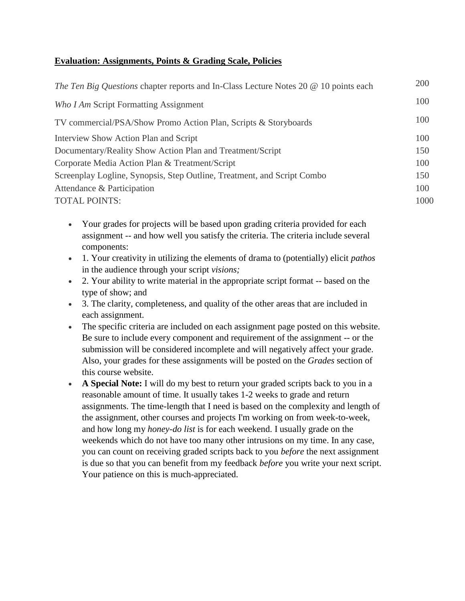# **Evaluation: Assignments, Points & Grading Scale, Policies**

| The Ten Big Questions chapter reports and In-Class Lecture Notes 20 @ 10 points each | 200  |
|--------------------------------------------------------------------------------------|------|
| Who I Am Script Formatting Assignment                                                | 100  |
| TV commercial/PSA/Show Promo Action Plan, Scripts & Storyboards                      | 100  |
| Interview Show Action Plan and Script                                                | 100  |
| Documentary/Reality Show Action Plan and Treatment/Script                            | 150  |
| Corporate Media Action Plan & Treatment/Script                                       | 100  |
| Screenplay Logline, Synopsis, Step Outline, Treatment, and Script Combo              | 150  |
| Attendance & Participation                                                           | 100  |
| <b>TOTAL POINTS:</b>                                                                 | 1000 |
|                                                                                      |      |

- Your grades for projects will be based upon grading criteria provided for each assignment -- and how well you satisfy the criteria. The criteria include several components:
- 1. Your creativity in utilizing the elements of drama to (potentially) elicit *pathos* in the audience through your script *visions;*
- 2. Your ability to write material in the appropriate script format -- based on the type of show; and
- 3. The clarity, completeness, and quality of the other areas that are included in each assignment.
- The specific criteria are included on each assignment page posted on this website. Be sure to include every component and requirement of the assignment -- or the submission will be considered incomplete and will negatively affect your grade. Also, your grades for these assignments will be posted on the *Grades* section of this course website.
- **A Special Note:** I will do my best to return your graded scripts back to you in a reasonable amount of time. It usually takes 1-2 weeks to grade and return assignments. The time-length that I need is based on the complexity and length of the assignment, other courses and projects I'm working on from week-to-week, and how long my *honey-do list* is for each weekend. I usually grade on the weekends which do not have too many other intrusions on my time. In any case, you can count on receiving graded scripts back to you *before* the next assignment is due so that you can benefit from my feedback *before* you write your next script. Your patience on this is much-appreciated.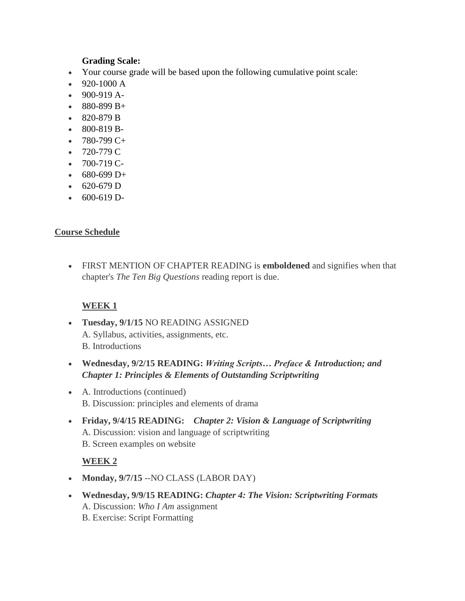### **Grading Scale:**

- Your course grade will be based upon the following cumulative point scale:
- 920-1000 A
- $-900-919 A$ -
- $880-899 B +$
- 820-879 B
- 800-819 B-
- $-780-799$  C+
- $-720-779$  C
- $-700-719$  C-
- $680-699 D+$
- $-620-679$  D
- $600-619$  D-

### **Course Schedule**

 FIRST MENTION OF CHAPTER READING is **emboldened** and signifies when that chapter's *The Ten Big Questions* reading report is due.

### **WEEK 1**

- **Tuesday, 9/1/15** NO READING ASSIGNED A. Syllabus, activities, assignments, etc. B. Introductions
- **Wednesday, 9/2/15 READING:** *Writing Scripts… Preface & Introduction; and Chapter 1: Principles & Elements of Outstanding Scriptwriting*
- A. Introductions (continued) B. Discussion: principles and elements of drama
- **Friday, 9/4/15 READING:**  *Chapter 2: Vision & Language of Scriptwriting* A. Discussion: vision and language of scriptwriting B. Screen examples on website

### **WEEK 2**

- Monday,  $9/7/15$  --NO CLASS (LABOR DAY)
- **Wednesday, 9/9/15 READING:** *Chapter 4: The Vision: Scriptwriting Formats* A. Discussion: *Who I Am* assignment B. Exercise: Script Formatting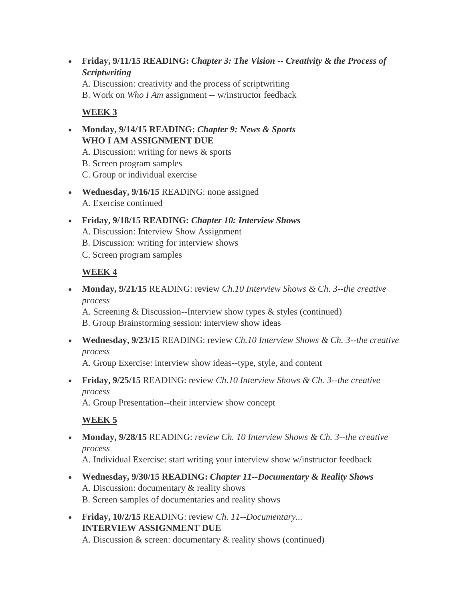**Friday, 9/11/15 READING:** *Chapter 3: The Vision -- Creativity & the Process of Scriptwriting*

A. Discussion: creativity and the process of scriptwriting B. Work on *Who I Am* assignment -- w/instructor feedback

# **WEEK 3**

- **Monday, 9/14/15 READING:** *Chapter 9: News & Sports*  **WHO I AM ASSIGNMENT DUE**
	- A. Discussion: writing for news & sports
	- B. Screen program samples
	- C. Group or individual exercise
- Wednesday, 9/16/15 READING: none assigned A. Exercise continued
- **Friday, 9/18/15 READING:** *Chapter 10: Interview Shows* A. Discussion: Interview Show Assignment B. Discussion: writing for interview shows
	- C. Screen program samples

# **WEEK 4**

 **Monday, 9/21/15** READING: review *Ch.10 Interview Shows & Ch. 3--the creative process*

A. Screening & Discussion--Interview show types & styles (continued) B. Group Brainstorming session: interview show ideas

 **Wednesday, 9/23/15** READING: review *Ch.10 Interview Shows & Ch. 3--the creative process*

A. Group Exercise: interview show ideas--type, style, and content

 **Friday, 9/25/15** READING: review *Ch.10 Interview Shows & Ch. 3--the creative process*

A. Group Presentation--their interview show concept

### **WEEK 5**

 **Monday, 9/28/15** READING: *review Ch. 10 Interview Shows & Ch. 3--the creative process*

A. Individual Exercise: start writing your interview show w/instructor feedback

- **Wednesday, 9/30/15 READING:** *Chapter 11--Documentary & Reality Shows* A. Discussion: documentary & reality shows B. Screen samples of documentaries and reality shows
- **Friday, 10/2/15** READING: review *Ch. 11--Documentary...* **INTERVIEW ASSIGNMENT DUE**

A. Discussion & screen: documentary & reality shows (continued)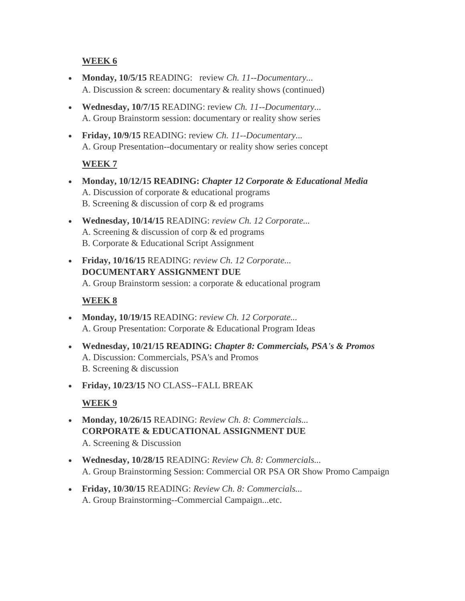# **WEEK 6**

- **Monday, 10/5/15** READING: review *Ch. 11--Documentary...* A. Discussion & screen: documentary & reality shows (continued)
- **Wednesday, 10/7/15** READING: review *Ch. 11--Documentary...* A. Group Brainstorm session: documentary or reality show series
- **Friday, 10/9/15** READING: review *Ch. 11--Documentary...* A. Group Presentation--documentary or reality show series concept

# **WEEK 7**

- **Monday, 10/12/15 READING:** *Chapter 12 Corporate & Educational Media* A. Discussion of corporate & educational programs B. Screening & discussion of corp & ed programs
- **Wednesday, 10/14/15** READING: *review Ch. 12 Corporate...* A. Screening & discussion of corp & ed programs B. Corporate & Educational Script Assignment
- **Friday, 10/16/15** READING: *review Ch. 12 Corporate...* **DOCUMENTARY ASSIGNMENT DUE** A. Group Brainstorm session: a corporate & educational program

# **WEEK 8**

- **Monday, 10/19/15** READING: *review Ch. 12 Corporate...* A. Group Presentation: Corporate & Educational Program Ideas
- **Wednesday, 10/21/15 READING:** *Chapter 8: Commercials, PSA's & Promos* A. Discussion: Commercials, PSA's and Promos B. Screening & discussion
- **Friday, 10/23/15** NO CLASS--FALL BREAK

# **WEEK 9**

- **Monday, 10/26/15** READING: *Review Ch. 8: Commercials...*  **CORPORATE & EDUCATIONAL ASSIGNMENT DUE** A. Screening & Discussion
- **Wednesday, 10/28/15** READING: *Review Ch. 8: Commercials...*  A. Group Brainstorming Session: Commercial OR PSA OR Show Promo Campaign
- **Friday, 10/30/15** READING: *Review Ch. 8: Commercials...*  A. Group Brainstorming--Commercial Campaign...etc.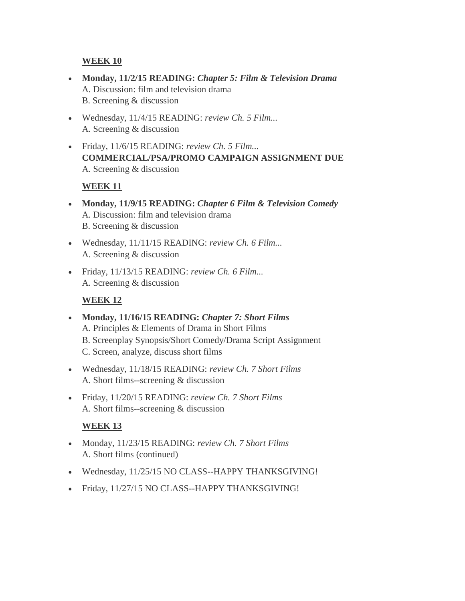### **WEEK 10**

- **Monday, 11/2/15 READING:** *Chapter 5: Film & Television Drama* A. Discussion: film and television drama B. Screening & discussion
- Wednesday, 11/4/15 READING: *review Ch. 5 Film...* A. Screening & discussion
- Friday, 11/6/15 READING: *review Ch. 5 Film...* **COMMERCIAL/PSA/PROMO CAMPAIGN ASSIGNMENT DUE**  A. Screening & discussion

# **WEEK 11**

- **Monday, 11/9/15 READING:** *Chapter 6 Film & Television Comedy* A. Discussion: film and television drama B. Screening & discussion
- Wednesday, 11/11/15 READING: *review Ch. 6 Film...* A. Screening & discussion
- Friday, 11/13/15 READING: *review Ch. 6 Film...* A. Screening & discussion

# **WEEK 12**

- **Monday, 11/16/15 READING:** *Chapter 7: Short Films*  A. Principles & Elements of Drama in Short Films B. Screenplay Synopsis/Short Comedy/Drama Script Assignment C. Screen, analyze, discuss short films
- Wednesday, 11/18/15 READING: *review Ch. 7 Short Films* A. Short films--screening & discussion
- Friday, 11/20/15 READING: *review Ch. 7 Short Films* A. Short films--screening & discussion

# **WEEK 13**

- Monday, 11/23/15 READING: *review Ch. 7 Short Films* A. Short films (continued)
- Wednesday, 11/25/15 NO CLASS--HAPPY THANKSGIVING!
- Friday, 11/27/15 NO CLASS--HAPPY THANKSGIVING!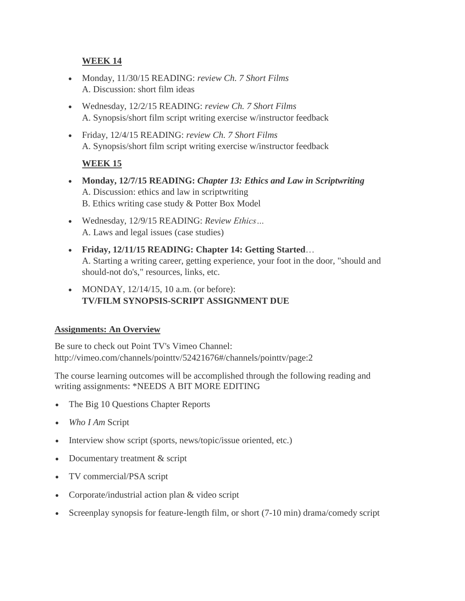# **WEEK 14**

- Monday, 11/30/15 READING: *review Ch. 7 Short Films* A. Discussion: short film ideas
- Wednesday, 12/2/15 READING: *review Ch. 7 Short Films* A. Synopsis/short film script writing exercise w/instructor feedback
- Friday, 12/4/15 READING: *review Ch. 7 Short Films* A. Synopsis/short film script writing exercise w/instructor feedback

# **WEEK 15**

- **Monday, 12/7/15 READING:** *Chapter 13: Ethics and Law in Scriptwriting* A. Discussion: ethics and law in scriptwriting B. Ethics writing case study & Potter Box Model
- Wednesday, 12/9/15 READING: *Review Ethics…* A. Laws and legal issues (case studies)
- **Friday, 12/11/15 READING: Chapter 14: Getting Started**… A. Starting a writing career, getting experience, your foot in the door, "should and should-not do's," resources, links, etc.
- MONDAY,  $12/14/15$ , 10 a.m. (or before): **TV/FILM SYNOPSIS-SCRIPT ASSIGNMENT DUE**

### **Assignments: An Overview**

Be sure to check out Point TV's Vimeo Channel: http://vimeo.com/channels/pointtv/52421676#/channels/pointtv/page:2

The course learning outcomes will be accomplished through the following reading and writing assignments: \*NEEDS A BIT MORE EDITING

- The Big 10 Questions Chapter Reports
- *Who I Am* Script
- Interview show script (sports, news/topic/issue oriented, etc.)
- Documentary treatment & script
- TV commercial/PSA script
- Corporate/industrial action plan & video script
- Screenplay synopsis for feature-length film, or short (7-10 min) drama/comedy script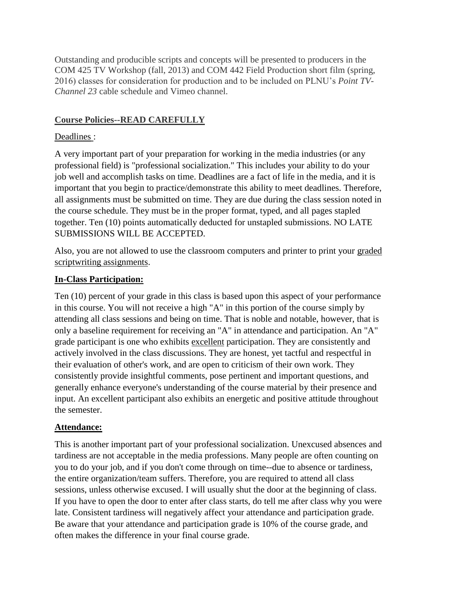Outstanding and producible scripts and concepts will be presented to producers in the COM 425 TV Workshop (fall, 2013) and COM 442 Field Production short film (spring, 2016) classes for consideration for production and to be included on PLNU's *Point TV-Channel 23* cable schedule and Vimeo channel.

# **Course Policies--READ CAREFULLY**

# Deadlines :

A very important part of your preparation for working in the media industries (or any professional field) is "professional socialization." This includes your ability to do your job well and accomplish tasks on time. Deadlines are a fact of life in the media, and it is important that you begin to practice/demonstrate this ability to meet deadlines. Therefore, all assignments must be submitted on time. They are due during the class session noted in the course schedule. They must be in the proper format, typed, and all pages stapled together. Ten (10) points automatically deducted for unstapled submissions. NO LATE SUBMISSIONS WILL BE ACCEPTED.

Also, you are not allowed to use the classroom computers and printer to print your graded scriptwriting assignments.

# **In-Class Participation:**

Ten (10) percent of your grade in this class is based upon this aspect of your performance in this course. You will not receive a high "A" in this portion of the course simply by attending all class sessions and being on time. That is noble and notable, however, that is only a baseline requirement for receiving an "A" in attendance and participation. An "A" grade participant is one who exhibits excellent participation. They are consistently and actively involved in the class discussions. They are honest, yet tactful and respectful in their evaluation of other's work, and are open to criticism of their own work. They consistently provide insightful comments, pose pertinent and important questions, and generally enhance everyone's understanding of the course material by their presence and input. An excellent participant also exhibits an energetic and positive attitude throughout the semester.

### **Attendance:**

This is another important part of your professional socialization. Unexcused absences and tardiness are not acceptable in the media professions. Many people are often counting on you to do your job, and if you don't come through on time--due to absence or tardiness, the entire organization/team suffers. Therefore, you are required to attend all class sessions, unless otherwise excused. I will usually shut the door at the beginning of class. If you have to open the door to enter after class starts, do tell me after class why you were late. Consistent tardiness will negatively affect your attendance and participation grade. Be aware that your attendance and participation grade is 10% of the course grade, and often makes the difference in your final course grade.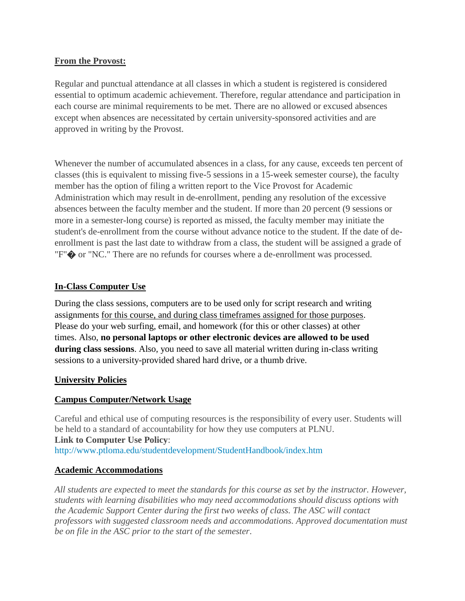#### **From the Provost:**

Regular and punctual attendance at all classes in which a student is registered is considered essential to optimum academic achievement. Therefore, regular attendance and participation in each course are minimal requirements to be met. There are no allowed or excused absences except when absences are necessitated by certain university-sponsored activities and are approved in writing by the Provost.

Whenever the number of accumulated absences in a class, for any cause, exceeds ten percent of classes (this is equivalent to missing five-5 sessions in a 15-week semester course), the faculty member has the option of filing a written report to the Vice Provost for Academic Administration which may result in de-enrollment, pending any resolution of the excessive absences between the faculty member and the student. If more than 20 percent (9 sessions or more in a semester-long course) is reported as missed, the faculty member may initiate the student's de-enrollment from the course without advance notice to the student. If the date of deenrollment is past the last date to withdraw from a class, the student will be assigned a grade of "F"� or "NC." There are no refunds for courses where a de-enrollment was processed.

### **In-Class Computer Use**

During the class sessions, computers are to be used only for script research and writing assignments for this course, and during class timeframes assigned for those purposes. Please do your web surfing, email, and homework (for this or other classes) at other times. Also, **no personal laptops or other electronic devices are allowed to be used during class sessions**. Also, you need to save all material written during in-class writing sessions to a university-provided shared hard drive, or a thumb drive.

#### **University Policies**

### **Campus Computer/Network Usage**

Careful and ethical use of computing resources is the responsibility of every user. Students will be held to a standard of accountability for how they use computers at PLNU. **Link to Computer Use Policy**: <http://www.ptloma.edu/studentdevelopment/StudentHandbook/index.htm>

#### **Academic Accommodations**

*All students are expected to meet the standards for this course as set by the instructor. However, students with learning disabilities who may need accommodations should discuss options with the Academic Support Center during the first two weeks of class. The ASC will contact professors with suggested classroom needs and accommodations. Approved documentation must be on file in the ASC prior to the start of the semester*.